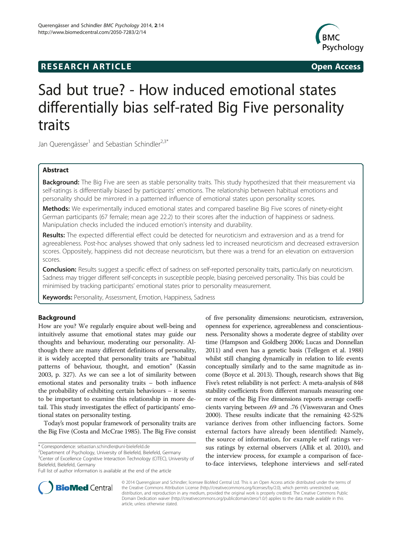## **RESEARCH ARTICLE Example 2014 CONSIDERING CONSIDERING CONSIDERING CONSIDERING CONSIDERING CONSIDERING CONSIDERING CONSIDERING CONSIDERING CONSIDERING CONSIDERING CONSIDERING CONSIDERING CONSIDERING CONSIDERING CONSIDE**



# Sad but true? - How induced emotional states differentially bias self-rated Big Five personality traits

Jan Querengässer<sup>1</sup> and Sebastian Schindler<sup>2,3\*</sup>

## Abstract

Background: The Big Five are seen as stable personality traits. This study hypothesized that their measurement via self-ratings is differentially biased by participants' emotions. The relationship between habitual emotions and personality should be mirrored in a patterned influence of emotional states upon personality scores.

Methods: We experimentally induced emotional states and compared baseline Big Five scores of ninety-eight German participants (67 female; mean age 22.2) to their scores after the induction of happiness or sadness. Manipulation checks included the induced emotion's intensity and durability.

Results: The expected differential effect could be detected for neuroticism and extraversion and as a trend for agreeableness. Post-hoc analyses showed that only sadness led to increased neuroticism and decreased extraversion scores. Oppositely, happiness did not decrease neuroticism, but there was a trend for an elevation on extraversion scores.

Conclusion: Results suggest a specific effect of sadness on self-reported personality traits, particularly on neuroticism. Sadness may trigger different self-concepts in susceptible people, biasing perceived personality. This bias could be minimised by tracking participants' emotional states prior to personality measurement.

Keywords: Personality, Assessment, Emotion, Happiness, Sadness

## Background

How are you? We regularly enquire about well-being and intuitively assume that emotional states may guide our thoughts and behaviour, moderating our personality. Although there are many different definitions of personality, it is widely accepted that personality traits are "habitual patterns of behaviour, thought, and emotion" (Kassin [2003,](#page-7-0) p. 327). As we can see a lot of similarity between emotional states and personality traits – both influence the probability of exhibiting certain behaviours – it seems to be important to examine this relationship in more detail. This study investigates the effect of participants' emotional states on personality testing.

Today's most popular framework of personality traits are the Big Five (Costa and McCrae [1985\)](#page-6-0). The Big Five consist

of five personality dimensions: neuroticism, extraversion, openness for experience, agreeableness and conscientiousness. Personality shows a moderate degree of stability over time (Hampson and Goldberg [2006;](#page-7-0) Lucas and Donnellan [2011\)](#page-7-0) and even has a genetic basis (Tellegen et al. [1988](#page-7-0)) whilst still changing dynamically in relation to life events conceptually similarly and to the same magnitude as income (Boyce et al. [2013\)](#page-6-0). Though, research shows that Big Five's retest reliability is not perfect: A meta-analysis of 848 stability coefficients from different manuals measuring one or more of the Big Five dimensions reports average coefficients varying between .69 and .76 (Viswesvaran and Ones [2000\)](#page-7-0). These results indicate that the remaining 42-52% variance derives from other influencing factors. Some external factors have already been identified: Namely, the source of information, for example self ratings versus ratings by external observers (Allik et al. [2010](#page-6-0)), and the interview process, for example a comparison of faceto-face interviews, telephone interviews and self-rated



© 2014 Querengässer and Schindler; licensee BioMed Central Ltd. This is an Open Access article distributed under the terms of the Creative Commons Attribution License [\(http://creativecommons.org/licenses/by/2.0\)](http://creativecommons.org/licenses/by/2.0), which permits unrestricted use, distribution, and reproduction in any medium, provided the original work is properly credited. The Creative Commons Public Domain Dedication waiver [\(http://creativecommons.org/publicdomain/zero/1.0/\)](http://creativecommons.org/publicdomain/zero/1.0/) applies to the data made available in this article, unless otherwise stated.

<sup>\*</sup> Correspondence: [sebastian.schindler@uni-bielefeld.de](mailto:sebastian.schindler@uni-bielefeld.de) <sup>2</sup>

Department of Psychology, University of Bielefeld, Bielefeld, Germany

<sup>&</sup>lt;sup>3</sup>Center of Excellence Cognitive Interaction Technology (CITEC), University of Bielefeld, Bielefeld, Germany

Full list of author information is available at the end of the article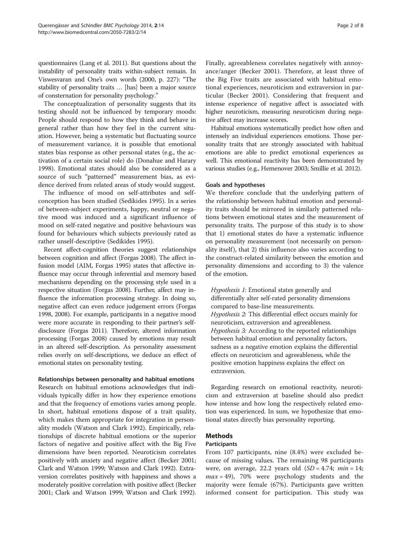questionnaires (Lang et al. [2011\)](#page-7-0). But questions about the instability of personality traits within-subject remain. In Viswesvaran and One's own words (2000, p. 227): "The stability of personality traits … [has] been a major source of consternation for personality psychology."

The conceptualization of personality suggests that its testing should not be influenced by temporary moods: People should respond to how they think and behave in general rather than how they feel in the current situation. However, being a systematic but fluctuating source of measurement variance, it is possible that emotional states bias response as other personal states (e.g., the activation of a certain social role) do (Donahue and Harary [1998](#page-7-0)). Emotional states should also be considered as a source of such "patterned" measurement bias, as evidence derived from related areas of study would suggest.

The influence of mood on self-attributes and selfconception has been studied (Sedikides [1995](#page-7-0)). In a series of between-subject experiments, happy, neutral or negative mood was induced and a significant influence of mood on self-rated negative and positive behaviours was found for behaviours which subjects previously rated as rather unself-descriptive (Sedikides [1995\)](#page-7-0).

Recent affect-cognition theories suggest relationships between cognition and affect (Forgas [2008](#page-7-0)). The affect infusion model (AIM, Forgas [1995\)](#page-7-0) states that affective influence may occur through inferential and memory based mechanisms depending on the processing style used in a respective situation (Forgas [2008](#page-7-0)). Further, affect may influence the information processing strategy. In doing so, negative affect can even reduce judgement errors (Forgas [1998, 2008](#page-7-0)). For example, participants in a negative mood were more accurate in responding to their partner's selfdisclosure (Forgas [2011\)](#page-7-0). Therefore, altered information processing (Forgas [2008](#page-7-0)) caused by emotions may result in an altered self-description. As personality assessment relies overly on self-descriptions, we deduce an effect of emotional states on personality testing.

#### Relationships between personality and habitual emotions

Research on habitual emotions acknowledges that individuals typically differ in how they experience emotions and that the frequency of emotions varies among people. In short, habitual emotions dispose of a trait quality, which makes them appropriate for integration in personality models (Watson and Clark [1992\)](#page-7-0). Empirically, relationships of discrete habitual emotions or the superior factors of negative and positive affect with the Big Five dimensions have been reported. Neuroticism correlates positively with anxiety and negative affect (Becker [2001](#page-6-0); Clark and Watson [1999](#page-6-0); Watson and Clark [1992](#page-7-0)). Extraversion correlates positively with happiness and shows a moderately positive correlation with positive affect (Becker [2001;](#page-6-0) Clark and Watson [1999;](#page-6-0) Watson and Clark [1992](#page-7-0)). Finally, agreeableness correlates negatively with annoyance/anger (Becker [2001](#page-6-0)). Therefore, at least three of the Big Five traits are associated with habitual emotional experiences, neuroticism and extraversion in particular (Becker [2001\)](#page-6-0). Considering that frequent and intense experience of negative affect is associated with higher neuroticism, measuring neuroticism during negative affect may increase scores.

Habitual emotions systematically predict how often and intensely an individual experiences emotions. Those personality traits that are strongly associated with habitual emotions are able to predict emotional experiences as well. This emotional reactivity has been demonstrated by various studies (e.g., Hemenover [2003;](#page-7-0) Smillie et al. [2012\)](#page-7-0).

#### Goals and hypotheses

We therefore conclude that the underlying pattern of the relationship between habitual emotion and personality traits should be mirrored in similarly patterned relations between emotional states and the measurement of personality traits. The purpose of this study is to show that 1) emotional states do have a systematic influence on personality measurement (not necessarily on personality itself), that 2) this influence also varies according to the construct-related similarity between the emotion and personality dimensions and according to 3) the valence of the emotion.

Hypothesis 1: Emotional states generally and differentially alter self-rated personality dimensions compared to base-line measurements. Hypothesis 2: This differential effect occurs mainly for neuroticism, extraversion and agreeableness. Hypothesis 3: According to the reported relationships between habitual emotion and personality factors, sadness as a negative emotion explains the differential effects on neuroticism and agreeableness, while the positive emotion happiness explains the effect on extraversion.

Regarding research on emotional reactivity, neuroticism and extraversion at baseline should also predict how intense and how long the respectively related emotion was experienced. In sum, we hypothesize that emotional states directly bias personality reporting.

### Methods

#### Participants

From 107 participants, nine (8.4%) were excluded because of missing values. The remaining 98 participants were, on average, 22.2 years old  $(SD = 4.74; min = 14;$  $max = 49$ , 70% were psychology students and the majority were female (67%). Participants gave written informed consent for participation. This study was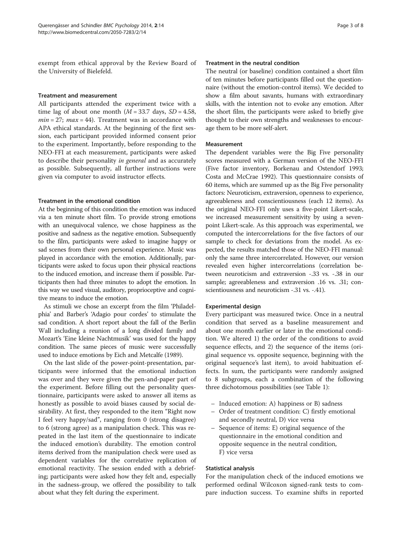exempt from ethical approval by the Review Board of the University of Bielefeld.

#### Treatment and measurement

All participants attended the experiment twice with a time lag of about one month  $(M = 33.7$  days,  $SD = 4.58$ ,  $min = 27$ ;  $max = 44$ ). Treatment was in accordance with APA ethical standards. At the beginning of the first session, each participant provided informed consent prior to the experiment. Importantly, before responding to the NEO-FFI at each measurement, participants were asked to describe their personality in general and as accurately as possible. Subsequently, all further instructions were given via computer to avoid instructor effects.

#### Treatment in the emotional condition

At the beginning of this condition the emotion was induced via a ten minute short film. To provide strong emotions with an unequivocal valence, we chose happiness as the positive and sadness as the negative emotion. Subsequently to the film, participants were asked to imagine happy or sad scenes from their own personal experience. Music was played in accordance with the emotion. Additionally, participants were asked to focus upon their physical reactions to the induced emotion, and increase them if possible. Participants then had three minutes to adopt the emotion. In this way we used visual, auditory, proprioceptive and cognitive means to induce the emotion.

As stimuli we chose an excerpt from the film 'Philadelphia' and Barber's 'Adagio pour cordes' to stimulate the sad condition. A short report about the fall of the Berlin Wall including a reunion of a long divided family and Mozart's 'Eine kleine Nachtmusik' was used for the happy condition. The same pieces of music were successfully used to induce emotions by Eich and Metcalfe ([1989](#page-7-0)).

On the last slide of the power-point-presentation, participants were informed that the emotional induction was over and they were given the pen-and-paper part of the experiment. Before filling out the personality questionnaire, participants were asked to answer all items as honestly as possible to avoid biases caused by social desirability. At first, they responded to the item "Right now I feel very happy/sad", ranging from 0 (strong disagree) to 6 (strong agree) as a manipulation check. This was repeated in the last item of the questionnaire to indicate the induced emotion's durability. The emotion control items derived from the manipulation check were used as dependent variables for the correlative replication of emotional reactivity. The session ended with a debriefing; participants were asked how they felt and, especially in the sadness-group, we offered the possibility to talk about what they felt during the experiment.

## Treatment in the neutral condition

The neutral (or baseline) condition contained a short film of ten minutes before participants filled out the questionnaire (without the emotion-control items). We decided to show a film about savants, humans with extraordinary skills, with the intention not to evoke any emotion. After the short film, the participants were asked to briefly give thought to their own strengths and weaknesses to encourage them to be more self-alert.

#### Measurement

The dependent variables were the Big Five personality scores measured with a German version of the NEO-FFI (Five factor inventory, Borkenau and Ostendorf [1993](#page-6-0); Costa and McCrae [1992\)](#page-7-0). This questionnaire consists of 60 items, which are summed up as the Big Five personality factors: Neuroticism, extraversion, openness to experience, agreeableness and conscientiousness (each 12 items). As the original NEO-FFI only uses a five-point Likert-scale, we increased measurement sensitivity by using a sevenpoint Likert-scale. As this approach was experimental, we computed the intercorrelations for the five factors of our sample to check for deviations from the model. As expected, the results matched those of the NEO-FFI manual: only the same three intercorrelated. However, our version revealed even higher intercorrelations (correlation between neuroticism and extraversion -.33 vs. -.38 in our sample; agreeableness and extraversion .16 vs. .31; conscientiousness and neuroticism -.31 vs. -.41).

#### Experimental design

Every participant was measured twice. Once in a neutral condition that served as a baseline measurement and about one month earlier or later in the emotional condition. We altered 1) the order of the conditions to avoid sequence effects, and 2) the sequence of the items (original sequence vs. opposite sequence, beginning with the original sequence's last item), to avoid habituation effects. In sum, the participants were randomly assigned to 8 subgroups, each a combination of the following three dichotomous possibilities (see Table [1](#page-3-0)):

- Induced emotion: A) happiness or B) sadness
- Order of treatment condition: C) firstly emotional and secondly neutral, D) vice versa
- Sequence of items: E) original sequence of the questionnaire in the emotional condition and opposite sequence in the neutral condition, F) vice versa

#### Statistical analysis

For the manipulation check of the induced emotions we performed ordinal Wilcoxon signed-rank tests to compare induction success. To examine shifts in reported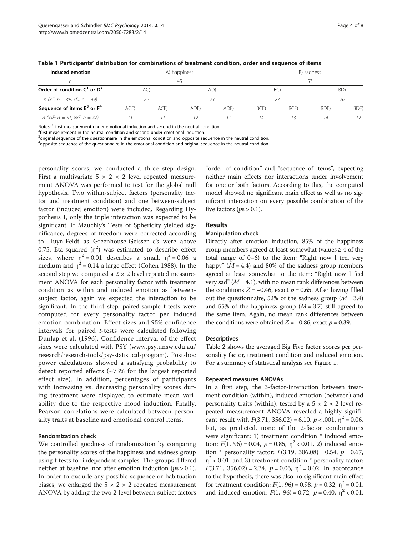| Induced emotion                      | A) happiness |     |      |      | B) sadness |      |      |      |  |
|--------------------------------------|--------------|-----|------|------|------------|------|------|------|--|
|                                      |              |     | 45   | 53   |            |      |      |      |  |
| Order of condition $C^1$ or $D^2$    | AC           |     | AD)  |      | BC         |      | BD)  |      |  |
| $n$ (xC: $n = 49$ ; xD: $n = 49$ )   |              |     | 23   |      | 27         |      | 26   |      |  |
| Sequence of items $E^3$ or $F^4$     | ACE)         | ACF | ADE) | ADF) | BCE)       | BCF) | BDE) | BDF) |  |
| $n$ (xxE: $n = 51$ ; xxF: $n = 47$ ) |              |     |      |      | 14         |      | 14   |      |  |

<span id="page-3-0"></span>Table 1 Participants' distribution for combinations of treatment condition, order and sequence of items

Notes: <sup>1</sup> first measurement under emotional induction and second in the neutral condition.

 $^{2}$ first measurement in the neutral condition and second under emotional induction.

<sup>3</sup>original sequence of the questionnaire in the emotional condition and opposite sequence in the neutral condition.

4 opposite sequence of the questionnaire in the emotional condition and original sequence in the neutral condition.

personality scores, we conducted a three step design. First a multivariate  $5 \times 2 \times 2$  level repeated measurement ANOVA was performed to test for the global null hypothesis. Two within-subject factors (personality factor and treatment condition) and one between-subject factor (induced emotion) were included. Regarding Hypothesis 1, only the triple interaction was expected to be significant. If Mauchly's Tests of Sphericity yielded significance, degrees of freedom were corrected according to Huyn-Feldt as Greenhouse-Geisser ε's were above 0.75. Eta-squared  $(\eta^2)$  was estimated to describe effect sizes, where  $\eta^2 = 0.01$  describes a small,  $\eta^2 = 0.06$  a medium and  $\eta^2$  = 0.14 a large effect (Cohen [1988\)](#page-6-0). In the second step we computed a  $2 \times 2$  level repeated measurement ANOVA for each personality factor with treatment condition as within and induced emotion as betweensubject factor, again we expected the interaction to be significant. In the third step, paired-sample t-tests were computed for every personality factor per induced emotion combination. Effect sizes and 95% confidence intervals for paired t-tests were calculated following Dunlap et al. ([1996](#page-7-0)). Confidence interval of the effect sizes were calculated with PSY ([www.psy.unsw.edu.au/](http://www.psy.unsw.edu.au/research/research-tools/psy-statistical-program) [research/research-tools/psy-statistical-program](http://www.psy.unsw.edu.au/research/research-tools/psy-statistical-program)). Post-hoc power calculations showed a satisfying probability to detect reported effects (~73% for the largest reported effect size). In addition, percentages of participants with increasing vs. decreasing personality scores during treatment were displayed to estimate mean variability due to the respective mood induction. Finally, Pearson correlations were calculated between personality traits at baseline and emotional control items.

#### Randomization check

We controlled goodness of randomization by comparing the personality scores of the happiness and sadness group using t-tests for independent samples. The groups differed neither at baseline, nor after emotion induction ( $ps > 0.1$ ). In order to exclude any possible sequence or habituation biases, we enlarged the  $5 \times 2 \times 2$  repeated measurement ANOVA by adding the two 2-level between-subject factors

"order of condition" and "sequence of items", expecting neither main effects nor interactions under involvement for one or both factors. According to this, the computed model showed no significant main effect as well as no significant interaction on every possible combination of the five factors ( $ps > 0.1$ ).

## Results

#### Manipulation check

Directly after emotion induction, 85% of the happiness group members agreed at least somewhat (values  $\geq 4$  of the total range of 0–6) to the item: "Right now I feel very happy" ( $M = 4.4$ ) and 80% of the sadness group members agreed at least somewhat to the item: "Right now I feel very sad" ( $M = 4.1$ ), with no mean rank differences between the conditions  $Z = -0.46$ , exact  $p = 0.65$ . After having filled out the questionnaire, 52% of the sadness group  $(M = 3.4)$ and 55% of the happiness group  $(M = 3.7)$  still agreed to the same item. Again, no mean rank differences between the conditions were obtained  $Z = -0.86$ , exact  $p = 0.39$ .

#### **Descriptives**

Table [2](#page-4-0) shows the averaged Big Five factor scores per personality factor, treatment condition and induced emotion. For a summary of statistical analysis see Figure [1.](#page-4-0)

#### Repeated measures ANOVAs

In a first step, the 3-factor-interaction between treatment condition (within), induced emotion (between) and personality traits (within), tested by a  $5 \times 2 \times 2$  level repeated measurement ANOVA revealed a highly significant result with  $F(3.71, 356.02) = 6.10, p < .001, \eta^2 = 0.06$ , but, as predicted, none of the 2-factor combinations were significant: 1) treatment condition \* induced emotion:  $F(1, 96) = 0.04$ ,  $p = 0.85$ ,  $\eta^2 < 0.01$ , 2) induced emotion \* personality factor:  $F(3.19, 306.08) = 0.54$ ,  $p = 0.67$ ,  $\eta^2$  < 0.01, and 3) treatment condition  $*$  personality factor:  $F(3.71, 356.02) = 2.34, p = 0.06, \eta^2 = 0.02$ . In accordance to the hypothesis, there was also no significant main effect for treatment condition:  $F(1, 96) = 0.98$ ,  $p = 0.32$ ,  $\eta^2 = 0.01$ , and induced emotion:  $F(1, 96) = 0.72$ ,  $p = 0.40$ ,  $\eta^2 < 0.01$ .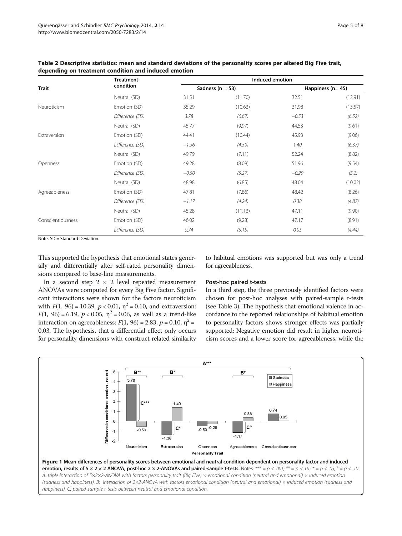|                   | <b>Treatment</b> |         | Induced emotion      |                    |         |  |  |  |  |
|-------------------|------------------|---------|----------------------|--------------------|---------|--|--|--|--|
| <b>Trait</b>      | condition        |         | Sadness ( $n = 53$ ) | Happiness $(n=45)$ |         |  |  |  |  |
|                   | Neutral (SD)     | 31.51   | (11.70)              | 32.51              | (12.91) |  |  |  |  |
| Neuroticism       | Emotion (SD)     | 35.29   | (10.63)              | 31.98              | (13.57) |  |  |  |  |
|                   | Difference (SD)  | 3.78    | (6.67)               | $-0.53$            | (6.52)  |  |  |  |  |
| Extraversion      | Neutral (SD)     | 45.77   | (9.97)               | 44.53              | (9.61)  |  |  |  |  |
|                   | Emotion (SD)     | 44.41   | (10.44)              | 45.93              | (9.06)  |  |  |  |  |
|                   | Difference (SD)  | $-1.36$ | (4.59)               | 1.40               | (6.37)  |  |  |  |  |
| Openness          | Neutral (SD)     | 49.79   | (7.11)               | 52.24              | (8.82)  |  |  |  |  |
|                   | Emotion (SD)     | 49.28   | (8.09)               | 51.96              | (9.54)  |  |  |  |  |
|                   | Difference (SD)  | $-0.50$ | (5.27)               | $-0.29$            | (5.2)   |  |  |  |  |
| Agreeableness     | Neutral (SD)     | 48.98   | (6.85)               | 48.04              | (10.02) |  |  |  |  |
|                   | Emotion (SD)     | 47.81   | (7.86)               | 48.42              | (8.26)  |  |  |  |  |
|                   | Difference (SD)  | $-1.17$ | (4.24)               | 0.38               | (4.87)  |  |  |  |  |
| Conscientiousness | Neutral (SD)     | 45.28   | (11.13)              | 47.11              | (9.90)  |  |  |  |  |
|                   | Emotion (SD)     | 46.02   | (9.28)               | 47.17              | (8.91)  |  |  |  |  |
|                   | Difference (SD)  | 0.74    | (5.15)               | 0.05               | (4.44)  |  |  |  |  |

<span id="page-4-0"></span>Table 2 Descriptive statistics: mean and standard deviations of the personality scores per altered Big Five trait, depending on treatment condition and induced emotion

Note. SD = Standard Deviation.

This supported the hypothesis that emotional states generally and differentially alter self-rated personality dimensions compared to base-line measurements.

to habitual emotions was supported but was only a trend for agreeableness.

In a second step  $2 \times 2$  level repeated measurement ANOVAs were computed for every Big Five factor. Significant interactions were shown for the factors neuroticism with  $F(1, 96) = 10.39$ ,  $p < 0.01$ ,  $\eta^2 = 0.10$ , and extraversion:  $F(1, 96) = 6.19$ ,  $p < 0.05$ ,  $\eta^2 = 0.06$ , as well as a trend-like interaction on agreeableness:  $F(1, 96) = 2.83$ ,  $p = 0.10$ ,  $\eta^2 =$ 0.03. The hypothesis, that a differential effect only occurs for personality dimensions with construct-related similarity

Post-hoc paired t-tests

In a third step, the three previously identified factors were chosen for post-hoc analyses with paired-sample t-tests (see Table [3](#page-5-0)). The hypothesis that emotional valence in accordance to the reported relationships of habitual emotion to personality factors shows stronger effects was partially supported: Negative emotion did result in higher neuroticism scores and a lower score for agreeableness, while the

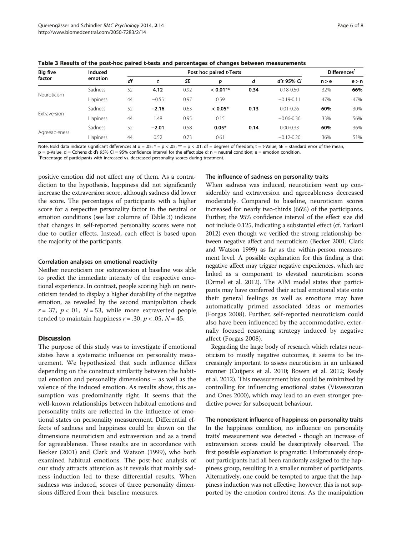<span id="page-5-0"></span>

|  | Table 3 Results of the post-hoc paired t-tests and percentages of changes between measurements |
|--|------------------------------------------------------------------------------------------------|
|--|------------------------------------------------------------------------------------------------|

| <b>Big five</b><br>factor | Induced<br>emotion | Post hoc paired t-Tests |         |           |            |      |                | Differences <sup>1</sup> |       |
|---------------------------|--------------------|-------------------------|---------|-----------|------------|------|----------------|--------------------------|-------|
|                           |                    | df                      |         | <b>SE</b> | p          | d    | d's 95% CI     | n > e                    | e > n |
| Neuroticism               | Sadness            | 52                      | 4.12    | 0.92      | $< 0.01**$ | 0.34 | $0.18 - 0.50$  | 32%                      | 66%   |
|                           | Hapiness           | 44                      | $-0.55$ | 0.97      | 0.59       |      | $-0.19 - 0.11$ | 47%                      | 47%   |
| Extraversion              | Sadness            | 52                      | $-2.16$ | 0.63      | $< 0.05*$  | 0.13 | $0.01 - 0.26$  | 60%                      | 30%   |
|                           | Hapiness           | 44                      | 1.48    | 0.95      | 0.15       |      | $-0.06 - 0.36$ | 33%                      | 56%   |
| Agreeableness             | Sadness            | 52                      | $-2.01$ | 0.58      | $0.05*$    | 0.14 | $0.00 - 0.33$  | 60%                      | 36%   |
|                           | Hapiness           | 44                      | 0.52    | 0.73      | 0.61       |      | $-0.12 - 0.20$ | 36%                      | 51%   |

Note. Bold data indicate significant differences at  $\alpha = .05$ ; \* = p < .05; \*\* = p < .01; df = degrees of freedom; t = t-Value; SE = standard error of the mean,  $p = p$ -Value, d = Cohens d; d's 95% CI = 95% confidence interval for the effect size d; n = neutral condition; e = emotion condition.

Percentage of participants with increased vs. decreased personality scores during treatment.

positive emotion did not affect any of them. As a contradiction to the hypothesis, happiness did not significantly increase the extraversion score, although sadness did lower the score. The percentages of participants with a higher score for a respective personality factor in the neutral or emotion conditions (see last columns of Table 3) indicate that changes in self-reported personality scores were not due to outlier effects. Instead, each effect is based upon the majority of the participants.

#### Correlation analyses on emotional reactivity

Neither neuroticism nor extraversion at baseline was able to predict the immediate intensity of the respective emotional experience. In contrast, people scoring high on neuroticism tended to display a higher durability of the negative emotion, as revealed by the second manipulation check  $r = .37$ ,  $p < .01$ ,  $N = 53$ , while more extraverted people tended to maintain happiness  $r = .30$ ,  $p < .05$ ,  $N = 45$ .

#### **Discussion**

The purpose of this study was to investigate if emotional states have a systematic influence on personality measurement. We hypothesized that such influence differs depending on the construct similarity between the habitual emotion and personality dimensions – as well as the valence of the induced emotion. As results show, this assumption was predominantly right. It seems that the well-known relationships between habitual emotions and personality traits are reflected in the influence of emotional states on personality measurement. Differential effects of sadness and happiness could be shown on the dimensions neuroticism and extraversion and as a trend for agreeableness. These results are in accordance with Becker ([2001](#page-6-0)) and Clark and Watson ([1999](#page-6-0)), who both examined habitual emotions. The post-hoc analysis of our study attracts attention as it reveals that mainly sadness induction led to these differential results. When sadness was induced, scores of three personality dimensions differed from their baseline measures.

#### The influence of sadness on personality traits

When sadness was induced, neuroticism went up considerably and extraversion and agreeableness decreased moderately. Compared to baseline, neuroticism scores increased for nearly two-thirds (66%) of the participants. Further, the 95% confidence interval of the effect size did not include 0.125, indicating a substantial effect (cf. Yarkoni [2012\)](#page-7-0) even though we verified the strong relationship between negative affect and neuroticism (Becker [2001;](#page-6-0) Clark and Watson [1999](#page-6-0)) as far as the within-person measurement level. A possible explanation for this finding is that negative affect may trigger negative experiences, which are linked as a component to elevated neuroticism scores (Ormel et al. [2012\)](#page-7-0). The AIM model states that participants may have conferred their actual emotional state onto their general feelings as well as emotions may have automatically primed associated ideas or memories (Forgas [2008](#page-7-0)). Further, self-reported neuroticism could also have been influenced by the accommodative, externally focused reasoning strategy induced by negative affect (Forgas [2008\)](#page-7-0).

Regarding the large body of research which relates neuroticism to mostly negative outcomes, it seems to be increasingly important to assess neuroticism in an unbiased manner (Cuijpers et al. [2010](#page-7-0); Bowen et al. [2012;](#page-6-0) Ready et al. [2012](#page-7-0)). This measurement bias could be minimized by controlling for influencing emotional states (Viswesvaran and Ones [2000\)](#page-7-0), which may lead to an even stronger predictive power for subsequent behaviour.

The nonexistent influence of happiness on personality traits In the happiness condition, no influence on personality traits' measurement was detected - though an increase of extraversion scores could be descriptively observed. The first possible explanation is pragmatic: Unfortunately dropout participants had all been randomly assigned to the happiness group, resulting in a smaller number of participants. Alternatively, one could be tempted to argue that the happiness induction was not effective; however, this is not supported by the emotion control items. As the manipulation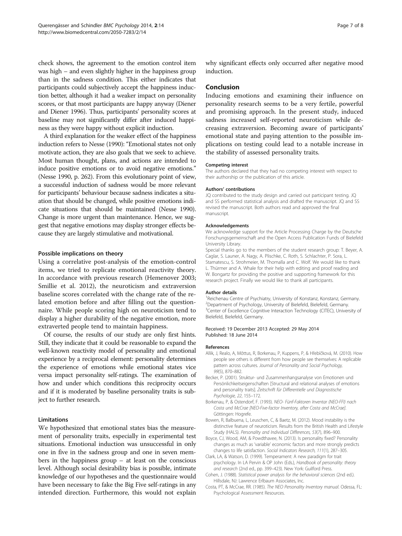<span id="page-6-0"></span>check shows, the agreement to the emotion control item was high – and even slightly higher in the happiness group than in the sadness condition. This either indicates that participants could subjectively accept the happiness induction better, although it had a weaker impact on personality scores, or that most participants are happy anyway (Diener and Diener [1996\)](#page-7-0). Thus, participants' personality scores at baseline may not significantly differ after induced happiness as they were happy without explicit induction.

A third explanation for the weaker effect of the happiness induction refers to Nesse [\(1990](#page-7-0)): "Emotional states not only motivate action, they are also goals that we seek to achieve. Most human thought, plans, and actions are intended to induce positive emotions or to avoid negative emotions." (Nesse [1990,](#page-7-0) p. 262). From this evolutionary point of view, a successful induction of sadness would be more relevant for participants' behaviour because sadness indicates a situation that should be changed, while positive emotions indicate situations that should be maintained (Nesse [1990](#page-7-0)). Change is more urgent than maintenance. Hence, we suggest that negative emotions may display stronger effects because they are largely stimulative and motivational.

#### Possible implications on theory

Using a correlative post-analysis of the emotion-control items, we tried to replicate emotional reactivity theory. In accordance with previous research (Hemenover [2003](#page-7-0); Smillie et al. [2012](#page-7-0)), the neuroticism and extraversion baseline scores correlated with the change rate of the related emotion before and after filling out the questionnaire. While people scoring high on neuroticism tend to display a higher durability of the negative emotion, more extraverted people tend to maintain happiness.

Of course, the results of our study are only first hints. Still, they indicate that it could be reasonable to expand the well-known reactivity model of personality and emotional experience by a reciprocal element: personality determines the experience of emotions while emotional states vice versa impact personality self-ratings. The examination of how and under which conditions this reciprocity occurs and if it is moderated by baseline personality traits is subject to further research.

#### Limitations

We hypothesized that emotional states bias the measurement of personality traits, especially in experimental test situations. Emotional induction was unsuccessful in only one in five in the sadness group and one in seven members in the happiness group – at least on the conscious level. Although social desirability bias is possible, intimate knowledge of our hypotheses and the questionnaire would have been necessary to fake the Big Five self-ratings in any intended direction. Furthermore, this would not explain

why significant effects only occurred after negative mood induction.

#### Conclusion

Inducing emotions and examining their influence on personality research seems to be a very fertile, powerful and promising approach. In the present study, induced sadness increased self-reported neuroticism while decreasing extraversion. Becoming aware of participants' emotional state and paying attention to the possible implications on testing could lead to a notable increase in the stability of assessed personality traits.

#### Competing interest

The authors declared that they had no competing interest with respect to their authorship or the publication of this article.

#### Authors' contributions

JQ contributed to the study design and carried out participant testing. JQ and SS performed statistical analysis and drafted the manuscript. JQ and SS revised the manuscript. Both authors read and approved the final manuscript.

#### Acknowledgements

We acknowledge support for the Article Processing Charge by the Deutsche Forschungsgemeinschaft and the Open Access Publication Funds of Bielefeld University Library.

Special thanks go to the members of the student research group: T. Beyer, A. Caglar, S. Launer, A. Nagy, A. Plischke, C. Roth, S. Schlachter, P. Sora, L. Stamatescu, S. Strohmeier, M. Thomalla and C. Wolf. We would like to thank L. Thürmer and A. Whale for their help with editing and proof reading and W. Bongartz for providing the positive and supporting framework for this research project. Finally we would like to thank all participants.

#### Author details

<sup>1</sup> Reichenau Centre of Psychiatry, University of Konstanz, Konstanz, Germany <sup>2</sup> Department of Psychology, University of Bielefeld, Bielefeld, Germany <sup>3</sup>Center of Excellence Cognitive Interaction Technology (CITEC), University of Bielefeld, Bielefeld, Germany.

#### Received: 19 December 2013 Accepted: 29 May 2014 Published: 18 June 2014

#### References

- Allik, J, Realo, A, Mõttus, R, Borkenau, P, Kuppens, P, & Hřebíčková, M. (2010). How people see others is different from how people see themselves: A replicable pattern across cultures. Journal of Personality and Social Psychology, 99(5), 870–882.
- Becker, P. (2001). Struktur- und Zusammenhangsanalyse von Emotionen und Persönlichkeitseigenschaften [Structural and relational analyses of emotions and personality traits]. Zeitschrift für Differentielle und Diagnostische Psychologie, 22, 155–172.
- Borkenau, P, & Ostendorf, F. (1993). NEO- Fünf-Faktoren Inventar (NEO-FFI) nach Costa und McCrae [NEO-Five-factor Inventory, after Costa and McCrae]. Göttingen: Hogrefe.
- Bowen, R, Balbuena, L, Leuschen, C, & Baetz, M. (2012). Mood instability is the distinctive feature of neuroticism. Results from the British Health and Lifestyle Study (HALS). Personality and Individual Differences, 53(7), 896–900.
- Boyce, CJ, Wood, AM, & Powdthavee, N. (2013). Is personality fixed? Personality changes as much as 'variable' economic factors and more strongly predicts changes to life satisfaction. Social Indicators Research, 111(1), 287–305.
- Clark, LA, & Watson, D. (1999). Temperament: A new paradigm for trait psychology. In LA Pervin & OP John (Eds.), Handbook of personality: theory and research (2nd ed., pp. 399–423). New York: Guilford Press.
- Cohen, J. (1988). Statistical power analysis for the behavioral sciences (2nd ed.). Hillsdale, NJ: Lawrence Erlbaum Associates, Inc.
- Costa, PT, & McCrae, RR. (1985). The NEO Personality Inventory manual. Odessa, FL: Psychological Assessment Resources.